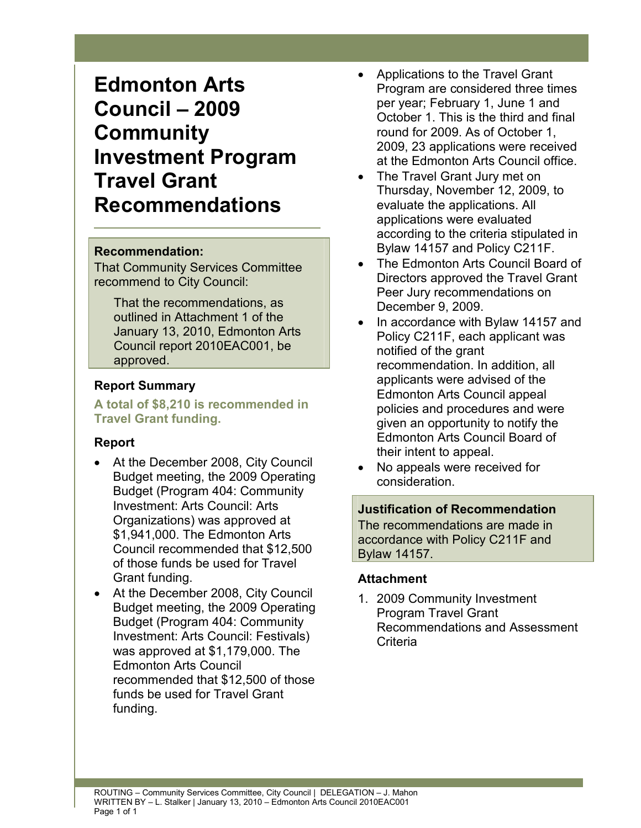# **Edmonton Arts Council – 2009 Community Investment Program Travel Grant Recommendations**

#### **Recommendation:**

That Community Services Committee recommend to City Council:

That the recommendations, as outlined in Attachment 1 of the January 13, 2010, Edmonton Arts Council report 2010EAC001, be approved.

#### **Report Summary**

**A total of \$8,210 is recommended in Travel Grant funding.** 

## **Report**

- At the December 2008, City Council Budget meeting, the 2009 Operating Budget (Program 404: Community Investment: Arts Council: Arts Organizations) was approved at \$1,941,000. The Edmonton Arts Council recommended that \$12,500 of those funds be used for Travel Grant funding.
- At the December 2008, City Council Budget meeting, the 2009 Operating Budget (Program 404: Community Investment: Arts Council: Festivals) was approved at \$1,179,000. The Edmonton Arts Council recommended that \$12,500 of those funds be used for Travel Grant funding.
- Applications to the Travel Grant Program are considered three times per year; February 1, June 1 and October 1. This is the third and final round for 2009. As of October 1, 2009, 23 applications were received at the Edmonton Arts Council office.
- The Travel Grant Jury met on Thursday, November 12, 2009, to evaluate the applications. All applications were evaluated according to the criteria stipulated in Bylaw 14157 and Policy C211F.
- The Edmonton Arts Council Board of Directors approved the Travel Grant Peer Jury recommendations on December 9, 2009.
- In accordance with Bylaw 14157 and Policy C211F, each applicant was notified of the grant recommendation. In addition, all applicants were advised of the Edmonton Arts Council appeal policies and procedures and were given an opportunity to notify the Edmonton Arts Council Board of their intent to appeal.
- No appeals were received for consideration.

**Justification of Recommendation**  The recommendations are made in accordance with Policy C211F and Bylaw 14157.

## **Attachment**

1. 2009 Community Investment Program Travel Grant Recommendations and Assessment **Criteria**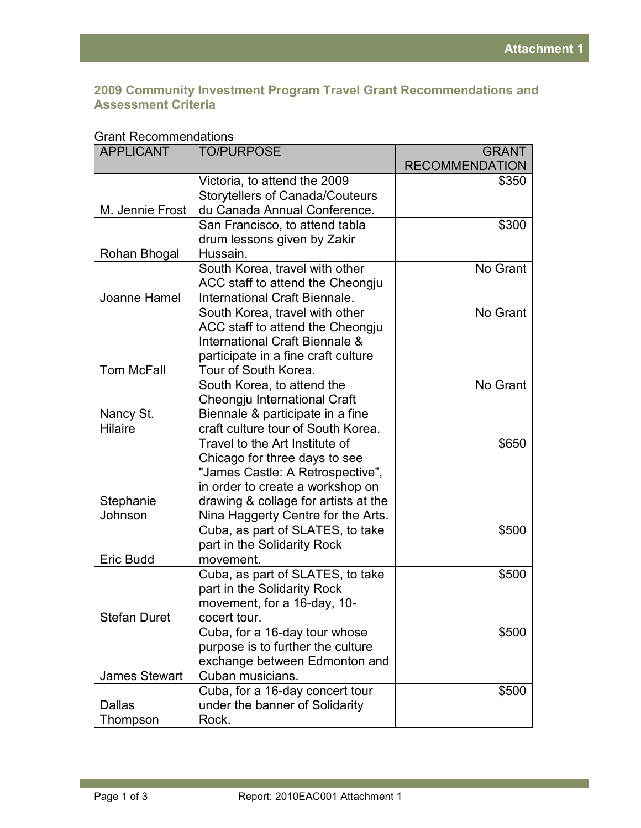#### **2009 Community Investment Program Travel Grant Recommendations and Assessment Criteria**

| Grant Recommendations |                                        |                       |  |
|-----------------------|----------------------------------------|-----------------------|--|
| <b>APPLICANT</b>      | <b>TO/PURPOSE</b>                      | <b>GRANT</b>          |  |
|                       |                                        | <b>RECOMMENDATION</b> |  |
|                       | Victoria, to attend the 2009           | \$350                 |  |
|                       | <b>Storytellers of Canada/Couteurs</b> |                       |  |
| M. Jennie Frost       | du Canada Annual Conference.           |                       |  |
|                       | San Francisco, to attend tabla         | \$300                 |  |
|                       | drum lessons given by Zakir            |                       |  |
| Rohan Bhogal          | Hussain.                               |                       |  |
|                       | South Korea, travel with other         | No Grant              |  |
|                       | ACC staff to attend the Cheongju       |                       |  |
| Joanne Hamel          | International Craft Biennale.          |                       |  |
|                       | South Korea, travel with other         | No Grant              |  |
|                       | ACC staff to attend the Cheongju       |                       |  |
|                       | International Craft Biennale &         |                       |  |
|                       | participate in a fine craft culture    |                       |  |
| <b>Tom McFall</b>     | Tour of South Korea.                   |                       |  |
|                       | South Korea, to attend the             | No Grant              |  |
|                       | Cheongju International Craft           |                       |  |
| Nancy St.             | Biennale & participate in a fine       |                       |  |
| <b>Hilaire</b>        | craft culture tour of South Korea.     |                       |  |
|                       | Travel to the Art Institute of         | \$650                 |  |
|                       | Chicago for three days to see          |                       |  |
|                       | "James Castle: A Retrospective",       |                       |  |
|                       | in order to create a workshop on       |                       |  |
| Stephanie             | drawing & collage for artists at the   |                       |  |
| Johnson               | Nina Haggerty Centre for the Arts.     |                       |  |
|                       | Cuba, as part of SLATES, to take       | \$500                 |  |
|                       | part in the Solidarity Rock            |                       |  |
| Eric Budd             | movement.                              |                       |  |
|                       | Cuba, as part of SLATES, to take       | \$500                 |  |
|                       | part in the Solidarity Rock            |                       |  |
|                       | movement, for a 16-day, 10-            |                       |  |
| <b>Stefan Duret</b>   | cocert tour.                           |                       |  |
|                       | Cuba, for a 16-day tour whose          | \$500                 |  |
|                       | purpose is to further the culture      |                       |  |
|                       | exchange between Edmonton and          |                       |  |
|                       | Cuban musicians.                       |                       |  |
| <b>James Stewart</b>  |                                        |                       |  |
|                       | Cuba, for a 16-day concert tour        | \$500                 |  |
| <b>Dallas</b>         | under the banner of Solidarity         |                       |  |
| Thompson              | Rock.                                  |                       |  |

# Grant Recommendations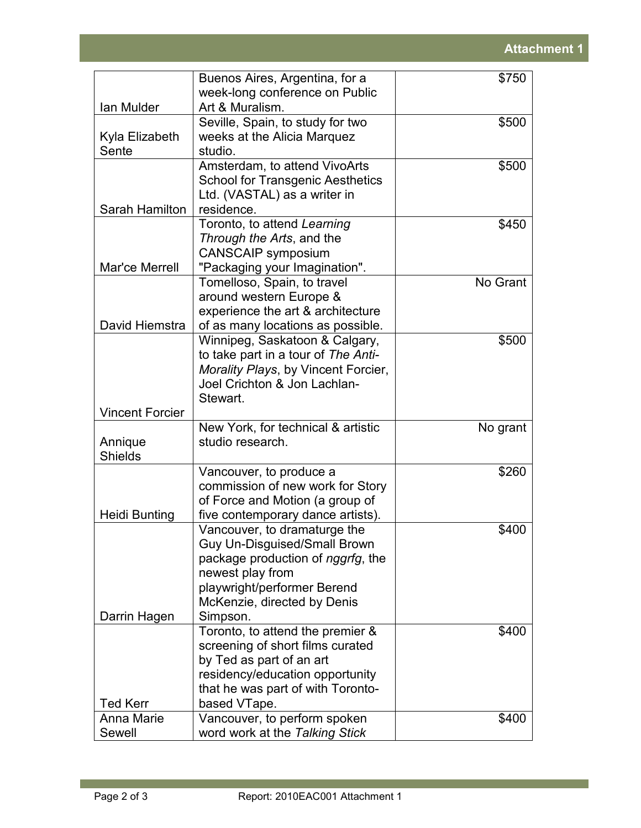|                        | Buenos Aires, Argentina, for a                                      | \$750    |
|------------------------|---------------------------------------------------------------------|----------|
|                        | week-long conference on Public                                      |          |
| Ian Mulder             | Art & Muralism.                                                     |          |
|                        | Seville, Spain, to study for two                                    | \$500    |
| Kyla Elizabeth         | weeks at the Alicia Marquez                                         |          |
| Sente                  | studio.                                                             |          |
|                        | Amsterdam, to attend VivoArts                                       | \$500    |
|                        | <b>School for Transgenic Aesthetics</b>                             |          |
|                        | Ltd. (VASTAL) as a writer in                                        |          |
| Sarah Hamilton         | residence.                                                          |          |
|                        | Toronto, to attend Learning                                         | \$450    |
|                        | Through the Arts, and the                                           |          |
|                        | <b>CANSCAIP symposium</b>                                           |          |
| Mar'ce Merrell         | "Packaging your Imagination".                                       |          |
|                        | Tomelloso, Spain, to travel                                         | No Grant |
|                        | around western Europe &                                             |          |
| David Hiemstra         | experience the art & architecture                                   |          |
|                        | of as many locations as possible.<br>Winnipeg, Saskatoon & Calgary, | \$500    |
|                        | to take part in a tour of The Anti-                                 |          |
|                        | Morality Plays, by Vincent Forcier,                                 |          |
|                        | Joel Crichton & Jon Lachlan-                                        |          |
|                        | Stewart.                                                            |          |
| <b>Vincent Forcier</b> |                                                                     |          |
|                        | New York, for technical & artistic                                  | No grant |
| Annique                | studio research.                                                    |          |
| <b>Shields</b>         |                                                                     |          |
|                        | Vancouver, to produce a                                             | \$260    |
|                        | commission of new work for Story                                    |          |
|                        | of Force and Motion (a group of                                     |          |
| <b>Heidi Bunting</b>   | five contemporary dance artists).                                   |          |
|                        | Vancouver, to dramaturge the                                        | \$400    |
|                        | Guy Un-Disguised/Small Brown                                        |          |
|                        | package production of nggrfg, the                                   |          |
|                        | newest play from                                                    |          |
|                        | playwright/performer Berend                                         |          |
|                        | McKenzie, directed by Denis                                         |          |
| Darrin Hagen           | Simpson.                                                            |          |
|                        | Toronto, to attend the premier &                                    | \$400    |
|                        | screening of short films curated                                    |          |
|                        | by Ted as part of an art                                            |          |
|                        | residency/education opportunity                                     |          |
| <b>Ted Kerr</b>        | that he was part of with Toronto-                                   |          |
| Anna Marie             | based VTape.<br>Vancouver, to perform spoken                        |          |
| Sewell                 | word work at the Talking Stick                                      | \$400    |
|                        |                                                                     |          |